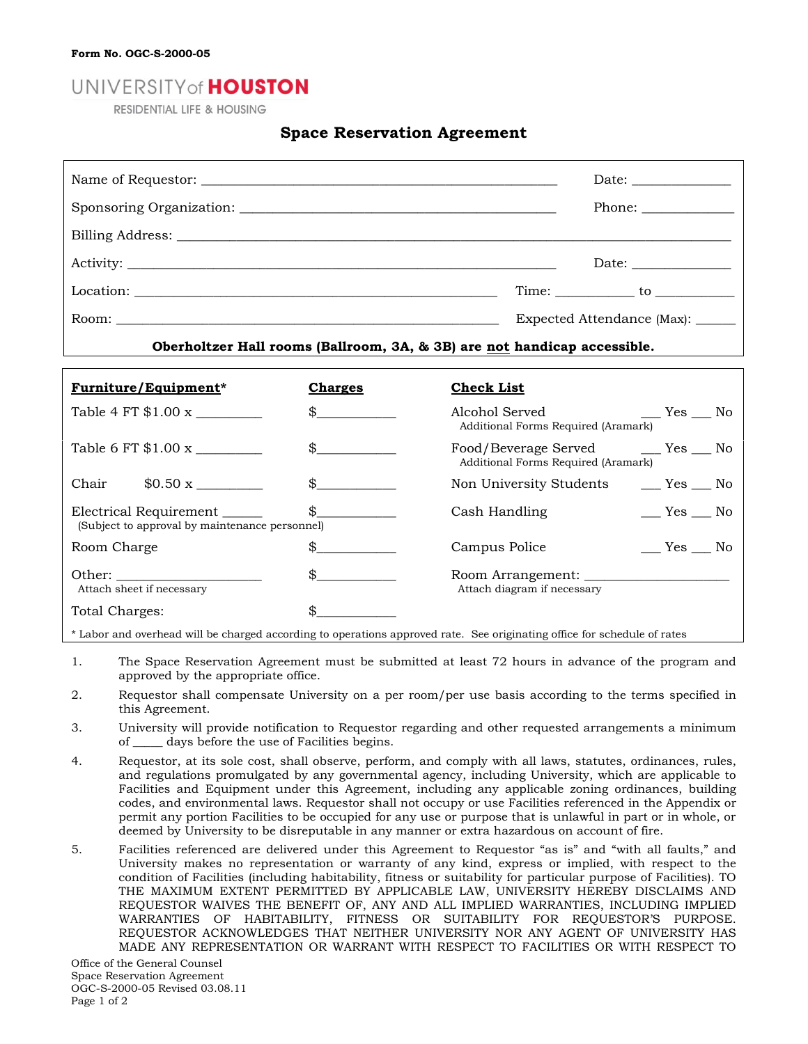## UNIVERSITY of **HOUSTON**

**RESIDENTIAL LIFE & HOUSING** 

## **Space Reservation Agreement**

|                                                                          |                |                                                                                   | Phone:                 |  |
|--------------------------------------------------------------------------|----------------|-----------------------------------------------------------------------------------|------------------------|--|
|                                                                          |                |                                                                                   |                        |  |
|                                                                          |                |                                                                                   |                        |  |
|                                                                          |                |                                                                                   |                        |  |
|                                                                          |                | Expected Attendance (Max): ______                                                 |                        |  |
|                                                                          |                | Oberholtzer Hall rooms (Ballroom, 3A, & 3B) are not handicap accessible.          |                        |  |
|                                                                          |                |                                                                                   |                        |  |
| <b>Furniture/Equipment*</b>                                              | <b>Charges</b> | <b>Check List</b>                                                                 |                        |  |
| Table 4 FT $$1.00 \text{ x}$                                             | $\frac{1}{2}$  | Alcohol Served<br>Additional Forms Required (Aramark)                             | $r = Yes$ No           |  |
|                                                                          | $\frac{1}{2}$  | Food/Beverage Served ________ Yes _____ No<br>Additional Forms Required (Aramark) |                        |  |
| Chair                                                                    | $\mathcal{S}$  | Non University Students                                                           | $\xi$ Yes $\xi$ No     |  |
| Electrical Requirement<br>(Subject to approval by maintenance personnel) | \$             | Cash Handling                                                                     | $\_\_\$ Yes $\_\_\$ No |  |
| Room Charge                                                              | $\frac{1}{2}$  | Campus Police                                                                     | $\_\_$ Yes $\_\_$ No   |  |
| Attach sheet if necessary                                                | $\frac{1}{2}$  | Attach diagram if necessary                                                       |                        |  |
| Total Charges:                                                           | \$             |                                                                                   |                        |  |

\* Labor and overhead will be charged according to operations approved rate. See originating office for schedule of rates

- 1. The Space Reservation Agreement must be submitted at least 72 hours in advance of the program and approved by the appropriate office.
- 2. Requestor shall compensate University on a per room/per use basis according to the terms specified in this Agreement.
- 3. University will provide notification to Requestor regarding and other requested arrangements a minimum of \_\_\_\_\_ days before the use of Facilities begins.
- 4. Requestor, at its sole cost, shall observe, perform, and comply with all laws, statutes, ordinances, rules, and regulations promulgated by any governmental agency, including University, which are applicable to Facilities and Equipment under this Agreement, including any applicable zoning ordinances, building codes, and environmental laws. Requestor shall not occupy or use Facilities referenced in the Appendix or permit any portion Facilities to be occupied for any use or purpose that is unlawful in part or in whole, or deemed by University to be disreputable in any manner or extra hazardous on account of fire.
- 5. Facilities referenced are delivered under this Agreement to Requestor "as is" and "with all faults," and University makes no representation or warranty of any kind, express or implied, with respect to the condition of Facilities (including habitability, fitness or suitability for particular purpose of Facilities). TO THE MAXIMUM EXTENT PERMITTED BY APPLICABLE LAW, UNIVERSITY HEREBY DISCLAIMS AND REQUESTOR WAIVES THE BENEFIT OF, ANY AND ALL IMPLIED WARRANTIES, INCLUDING IMPLIED WARRANTIES OF HABITABILITY, FITNESS OR SUITABILITY FOR REQUESTOR'S PURPOSE. REQUESTOR ACKNOWLEDGES THAT NEITHER UNIVERSITY NOR ANY AGENT OF UNIVERSITY HAS MADE ANY REPRESENTATION OR WARRANT WITH RESPECT TO FACILITIES OR WITH RESPECT TO